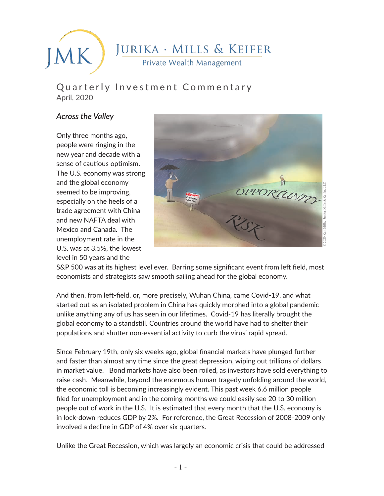JURIKA · MILLS & KEIFER MK. Private Wealth Management

## Quarterly Investment Commentary April, 2020

### *Across the Valley*

Only three months ago, people were ringing in the new year and decade with a sense of cautious optimism. The U.S. economy was strong and the global economy seemed to be improving, especially on the heels of a trade agreement with China and new NAFTA deal with Mexico and Canada. The unemployment rate in the U.S. was at 3.5%, the lowest level in 50 years and the



S&P 500 was at its highest level ever. Barring some significant event from left field, most economists and strategists saw smooth sailing ahead for the global economy.

And then, from left-field, or, more precisely, Wuhan China, came Covid-19, and what started out as an isolated problem in China has quickly morphed into a global pandemic unlike anything any of us has seen in our lifetimes. Covid-19 has literally brought the global economy to a standstill. Countries around the world have had to shelter their populations and shutter non-essential activity to curb the virus' rapid spread.

Since February 19th, only six weeks ago, global financial markets have plunged further and faster than almost any time since the great depression, wiping out trillions of dollars in market value. Bond markets have also been roiled, as investors have sold everything to raise cash. Meanwhile, beyond the enormous human tragedy unfolding around the world, the economic toll is becoming increasingly evident. This past week 6.6 million people filed for unemployment and in the coming months we could easily see 20 to 30 million people out of work in the U.S. It is estimated that every month that the U.S. economy is in lock-down reduces GDP by 2%. For reference, the Great Recession of 2008-2009 only involved a decline in GDP of 4% over six quarters.

Unlike the Great Recession, which was largely an economic crisis that could be addressed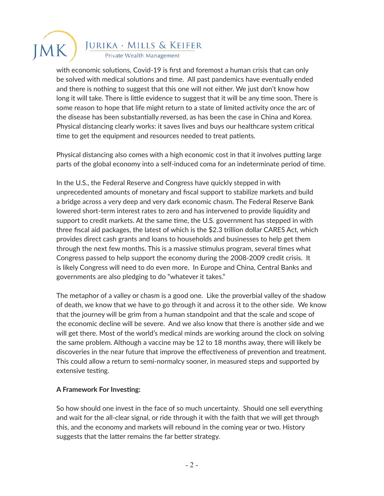with economic solutions, Covid-19 is first and foremost a human crisis that can only be solved with medical solutions and time. All past pandemics have eventually ended and there is nothing to suggest that this one will not either. We just don't know how long it will take. There is little evidence to suggest that it will be any time soon. There is some reason to hope that life might return to a state of limited activity once the arc of the disease has been substantially reversed, as has been the case in China and Korea. Physical distancing clearly works: it saves lives and buys our healthcare system critical time to get the equipment and resources needed to treat patients.

Physical distancing also comes with a high economic cost in that it involves putting large parts of the global economy into a self-induced coma for an indeterminate period of time.

In the U.S., the Federal Reserve and Congress have quickly stepped in with unprecedented amounts of monetary and fiscal support to stabilize markets and build a bridge across a very deep and very dark economic chasm. The Federal Reserve Bank lowered short-term interest rates to zero and has intervened to provide liquidity and support to credit markets. At the same time, the U.S. government has stepped in with three fiscal aid packages, the latest of which is the \$2.3 trillion dollar CARES Act, which provides direct cash grants and loans to households and businesses to help get them through the next few months. This is a massive stimulus program, several times what Congress passed to help support the economy during the 2008-2009 credit crisis. It is likely Congress will need to do even more. In Europe and China, Central Banks and governments are also pledging to do "whatever it takes."

The metaphor of a valley or chasm is a good one. Like the proverbial valley of the shadow of death, we know that we have to go through it and across it to the other side. We know that the journey will be grim from a human standpoint and that the scale and scope of the economic decline will be severe. And we also know that there is another side and we will get there. Most of the world's medical minds are working around the clock on solving the same problem. Although a vaccine may be 12 to 18 months away, there will likely be discoveries in the near future that improve the effectiveness of prevention and treatment. This could allow a return to semi-normalcy sooner, in measured steps and supported by extensive testing.

#### **A Framework For Investing:**

So how should one invest in the face of so much uncertainty. Should one sell everything and wait for the all-clear signal, or ride through it with the faith that we will get through this, and the economy and markets will rebound in the coming year or two. History suggests that the latter remains the far better strategy.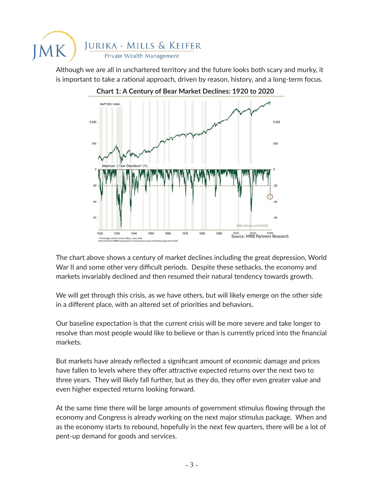

Although we are all in unchartered territory and the future looks both scary and murky, it is important to take a rational approach, driven by reason, history, and a long-term focus.



The chart above shows a century of market declines including the great depression, World War II and some other very difficult periods. Despite these setbacks, the economy and markets invariably declined and then resumed their natural tendency towards growth.

We will get through this crisis, as we have others, but will likely emerge on the other side in a different place, with an altered set of priorities and behaviors.

Our baseline expectation is that the current crisis will be more severe and take longer to resolve than most people would like to believe or than is currently priced into the financial markets.

But markets have already reflected a significant amount of economic damage and prices have fallen to levels where they offer attractive expected returns over the next two to three years. They will likely fall further, but as they do, they offer even greater value and even higher expected returns looking forward.

At the same time there will be large amounts of government stimulus flowing through the economy and Congress is already working on the next major stimulus package. When and as the economy starts to rebound, hopefully in the next few quarters, there will be a lot of pent-up demand for goods and services.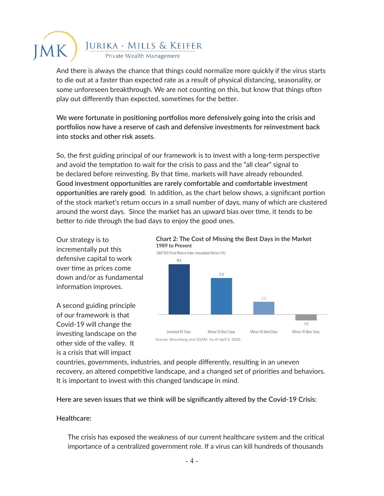And there is always the chance that things could normalize more quickly if the virus starts to die out at a faster than expected rate as a result of physical distancing, seasonality, or some unforeseen breakthrough. We are not counting on this, but know that things often play out differently than expected, sometimes for the better.

**We were fortunate in positioning portfolios more defensively going into the crisis and portfolios now have a reserve of cash and defensive investments for reinvestment back into stocks and other risk assets.**

So, the first guiding principal of our framework is to invest with a long-term perspective and avoid the temptation to wait for the crisis to pass and the "all clear" signal to be declared before reinvesting. By that time, markets will have already rebounded. **Good investment opportunities are rarely comfortable and comfortable investment opportunities are rarely good.** In addition, as the chart below shows, a significant portion of the stock market's return occurs in a small number of days, many of which are clustered around the worst days. Since the market has an upward bias over time, it tends to be better to ride through the bad days to enjoy the good ones.

Our strategy is to incrementally put this defensive capital to work over time as prices come down and/or as fundamental information improves.

A second guiding principle of our framework is that Covid-19 will change the investing landscape on the other side of the valley. It is a crisis that will impact



countries, governments, industries, and people differently, resulting in an uneven recovery, an altered competitive landscape, and a changed set of priorities and behaviors. It is important to invest with this changed landscape in mind.

**Here are seven issues that we think will be significantly altered by the Covid-19 Crisis:**

#### **Healthcare:**

The crisis has exposed the weakness of our current healthcare system and the critical importance of a centralized government role. If a virus can kill hundreds of thousands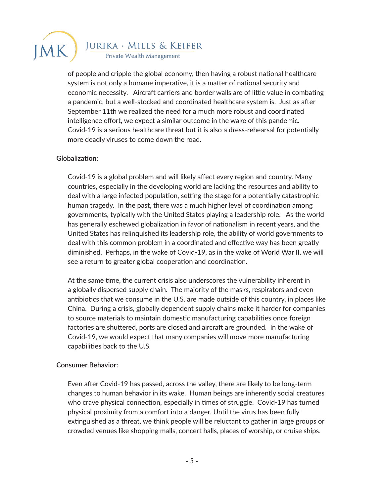

of people and cripple the global economy, then having a robust national healthcare system is not only a humane imperative, it is a matter of national security and economic necessity. Aircraft carriers and border walls are of little value in combating a pandemic, but a well-stocked and coordinated healthcare system is. Just as after September 11th we realized the need for a much more robust and coordinated intelligence effort, we expect a similar outcome in the wake of this pandemic. Covid-19 is a serious healthcare threat but it is also a dress-rehearsal for potentially more deadly viruses to come down the road.

#### **Globalization:**

Covid-19 is a global problem and will likely affect every region and country. Many countries, especially in the developing world are lacking the resources and ability to deal with a large infected population, setting the stage for a potentially catastrophic human tragedy. In the past, there was a much higher level of coordination among governments, typically with the United States playing a leadership role. As the world has generally eschewed globalization in favor of nationalism in recent years, and the United States has relinquished its leadership role, the ability of world governments to deal with this common problem in a coordinated and effective way has been greatly diminished. Perhaps, in the wake of Covid-19, as in the wake of World War II, we will see a return to greater global cooperation and coordination.

At the same time, the current crisis also underscores the vulnerability inherent in a globally dispersed supply chain. The majority of the masks, respirators and even antibiotics that we consume in the U.S. are made outside of this country, in places like China. During a crisis, globally dependent supply chains make it harder for companies to source materials to maintain domestic manufacturing capabilities once foreign factories are shuttered, ports are closed and aircraft are grounded. In the wake of Covid-19, we would expect that many companies will move more manufacturing capabilities back to the U.S.

#### **Consumer Behavior:**

Even after Covid-19 has passed, across the valley, there are likely to be long-term changes to human behavior in its wake. Human beings are inherently social creatures who crave physical connection, especially in times of struggle. Covid-19 has turned physical proximity from a comfort into a danger. Until the virus has been fully extinguished as a threat, we think people will be reluctant to gather in large groups or crowded venues like shopping malls, concert halls, places of worship, or cruise ships.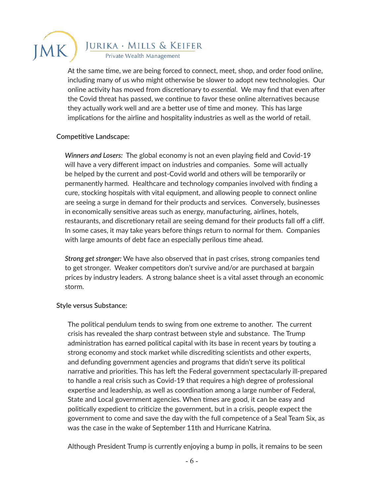

At the same time, we are being forced to connect, meet, shop, and order food online, including many of us who might otherwise be slower to adopt new technologies. Our online activity has moved from discretionary to *essential*. We may find that even after the Covid threat has passed, we continue to favor these online alternatives because they actually work well and are a better use of time and money. This has large implications for the airline and hospitality industries as well as the world of retail.

#### **Competitive Landscape:**

*Winners and Losers:* The global economy is not an even playing field and Covid-19 will have a very different impact on industries and companies. Some will actually be helped by the current and post-Covid world and others will be temporarily or permanently harmed. Healthcare and technology companies involved with finding a cure, stocking hospitals with vital equipment, and allowing people to connect online are seeing a surge in demand for their products and services. Conversely, businesses in economically sensitive areas such as energy, manufacturing, airlines, hotels, restaurants, and discretionary retail are seeing demand for their products fall off a cliff. In some cases, it may take years before things return to normal for them. Companies with large amounts of debt face an especially perilous time ahead.

*Strong get stronger:* We have also observed that in past crises, strong companies tend to get stronger. Weaker competitors don't survive and/or are purchased at bargain prices by industry leaders. A strong balance sheet is a vital asset through an economic storm.

#### **Style versus Substance:**

The political pendulum tends to swing from one extreme to another. The current crisis has revealed the sharp contrast between style and substance. The Trump administration has earned political capital with its base in recent years by touting a strong economy and stock market while discrediting scientists and other experts, and defunding government agencies and programs that didn't serve its political narrative and priorities. This has left the Federal government spectacularly ill-prepared to handle a real crisis such as Covid-19 that requires a high degree of professional expertise and leadership, as well as coordination among a large number of Federal, State and Local government agencies. When times are good, it can be easy and politically expedient to criticize the government, but in a crisis, people expect the government to come and save the day with the full competence of a Seal Team Six, as was the case in the wake of September 11th and Hurricane Katrina.

Although President Trump is currently enjoying a bump in polls, it remains to be seen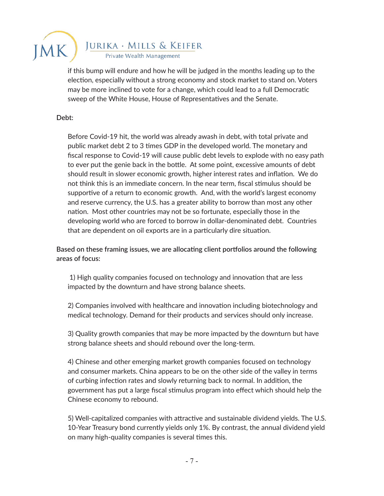

if this bump will endure and how he will be judged in the months leading up to the election, especially without a strong economy and stock market to stand on. Voters may be more inclined to vote for a change, which could lead to a full Democratic sweep of the White House, House of Representatives and the Senate.

#### **Debt:**

Before Covid-19 hit, the world was already awash in debt, with total private and public market debt 2 to 3 times GDP in the developed world. The monetary and fiscal response to Covid-19 will cause public debt levels to explode with no easy path to ever put the genie back in the bottle. At some point, excessive amounts of debt should result in slower economic growth, higher interest rates and inflation. We do not think this is an immediate concern. In the near term, fiscal stimulus should be supportive of a return to economic growth. And, with the world's largest economy and reserve currency, the U.S. has a greater ability to borrow than most any other nation. Most other countries may not be so fortunate, especially those in the developing world who are forced to borrow in dollar-denominated debt. Countries that are dependent on oil exports are in a particularly dire situation.

**Based on these framing issues, we are allocating client portfolios around the following areas of focus:** 

 1) High quality companies focused on technology and innovation that are less impacted by the downturn and have strong balance sheets.

2) Companies involved with healthcare and innovation including biotechnology and medical technology. Demand for their products and services should only increase.

3) Quality growth companies that may be more impacted by the downturn but have strong balance sheets and should rebound over the long-term.

4) Chinese and other emerging market growth companies focused on technology and consumer markets. China appears to be on the other side of the valley in terms of curbing infection rates and slowly returning back to normal. In addition, the government has put a large fiscal stimulus program into effect which should help the Chinese economy to rebound.

5) Well-capitalized companies with attractive and sustainable dividend yields. The U.S. 10-Year Treasury bond currently yields only 1%. By contrast, the annual dividend yield on many high-quality companies is several times this.